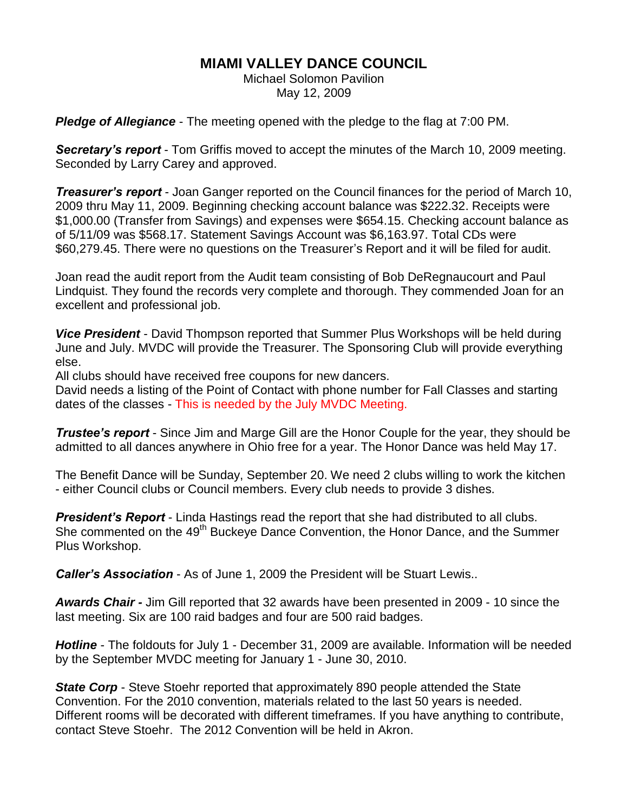## **MIAMI VALLEY DANCE COUNCIL**

Michael Solomon Pavilion May 12, 2009

*Pledge of Allegiance* - The meeting opened with the pledge to the flag at 7:00 PM.

*Secretary's report* - Tom Griffis moved to accept the minutes of the March 10, 2009 meeting. Seconded by Larry Carey and approved.

*Treasurer's report* - Joan Ganger reported on the Council finances for the period of March 10, 2009 thru May 11, 2009. Beginning checking account balance was \$222.32. Receipts were \$1,000.00 (Transfer from Savings) and expenses were \$654.15. Checking account balance as of 5/11/09 was \$568.17. Statement Savings Account was \$6,163.97. Total CDs were \$60,279.45. There were no questions on the Treasurer's Report and it will be filed for audit.

Joan read the audit report from the Audit team consisting of Bob DeRegnaucourt and Paul Lindquist. They found the records very complete and thorough. They commended Joan for an excellent and professional job.

*Vice President* - David Thompson reported that Summer Plus Workshops will be held during June and July. MVDC will provide the Treasurer. The Sponsoring Club will provide everything else.

All clubs should have received free coupons for new dancers.

David needs a listing of the Point of Contact with phone number for Fall Classes and starting dates of the classes - This is needed by the July MVDC Meeting.

*Trustee's report* - Since Jim and Marge Gill are the Honor Couple for the year, they should be admitted to all dances anywhere in Ohio free for a year. The Honor Dance was held May 17.

The Benefit Dance will be Sunday, September 20. We need 2 clubs willing to work the kitchen - either Council clubs or Council members. Every club needs to provide 3 dishes.

*President's Report* - Linda Hastings read the report that she had distributed to all clubs. She commented on the 49<sup>th</sup> Buckeye Dance Convention, the Honor Dance, and the Summer Plus Workshop.

*Caller's Association* - As of June 1, 2009 the President will be Stuart Lewis..

*Awards Chair -* Jim Gill reported that 32 awards have been presented in 2009 - 10 since the last meeting. Six are 100 raid badges and four are 500 raid badges.

*Hotline* - The foldouts for July 1 - December 31, 2009 are available. Information will be needed by the September MVDC meeting for January 1 - June 30, 2010.

*State Corp* - Steve Stoehr reported that approximately 890 people attended the State Convention. For the 2010 convention, materials related to the last 50 years is needed. Different rooms will be decorated with different timeframes. If you have anything to contribute, contact Steve Stoehr. The 2012 Convention will be held in Akron.